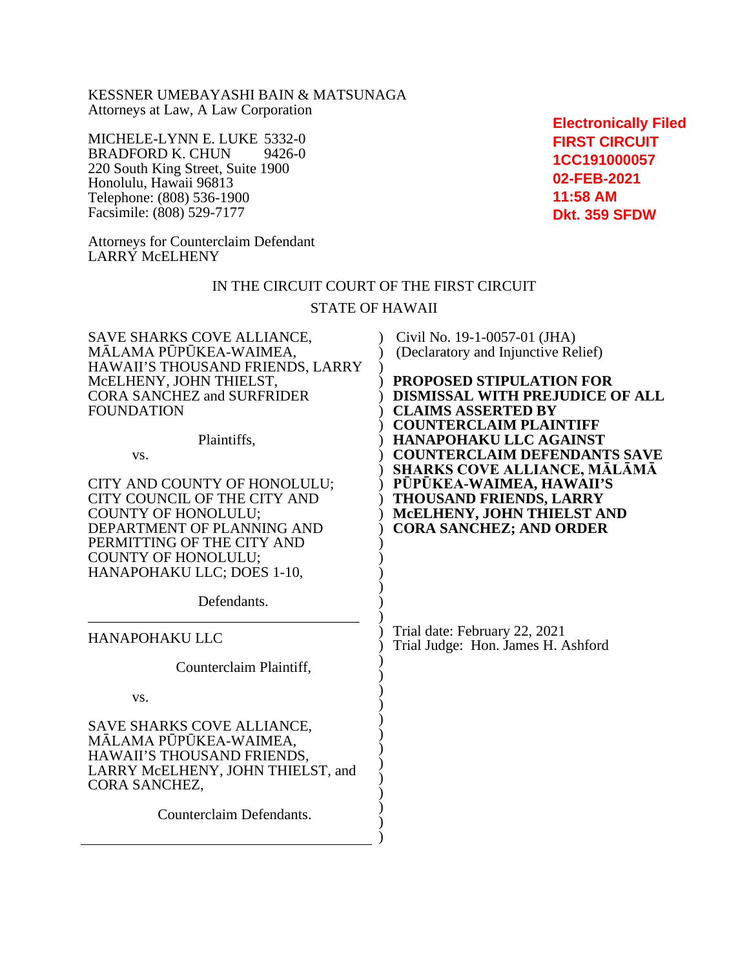KESSNER UMEBAYASHI BAIN & MATSUNAGA Attorneys at Law, A Law Corporation

MICHELE-LYNN E. LUKE 5332-0<br>BRADFORD K. CHUN 9426-0 BRADFORD K. CHUN 220 South King Street, Suite 1900 Honolulu, Hawaii 96813 Telephone: (808) 536-1900 Facsimile: (808) 529-7177

**Electronically Filed FIRST CIRCUIT 1CC191000057 02-FEB-2021 11:58 AM Dkt. 359 SFDW**

Attorneys for Counterclaim Defendant LARRY McELHENY

## IN THE CIRCUIT COURT OF THE FIRST CIRCUIT

### STATE OF HAWAII

| <b>SAVE SHARKS COVE ALLIANCE,</b><br>MĀLAMA PŪPŪKEA-WAIMEA,<br>HAWAII'S THOUSAND FRIENDS, LARRY<br>MCELHENY, JOHN THIELST,<br><b>CORA SANCHEZ and SURFRIDER</b><br><b>FOUNDATION</b><br>Plaintiffs,<br>VS.<br>CITY AND COUNTY OF HONOLULU;<br>CITY COUNCIL OF THE CITY AND<br><b>COUNTY OF HONOLULU;</b><br>DEPARTMENT OF PLANNING AND<br>PERMITTING OF THE CITY AND<br><b>COUNTY OF HONOLULU;</b><br>HANAPOHAKU LLC; DOES 1-10,<br>Defendants. | Civil No. 19-1-0057-01 (JHA)<br>(Declaratory and Injunctive Relief)<br>PROPOSED STIPULATION FOR<br><b>DISMISSAL WITH PREJUDICE OF ALL</b><br><b>CLAIMS ASSERTED BY</b><br><b>COUNTERCLAIM PLAINTIFF</b><br><b>HANAPOHAKU LLC AGAINST</b><br><b>COUNTERCLAIM DEFENDANTS SAVE</b><br><b>SHARKS COVE ALLIANCE, MĀLĀMĀ</b><br>PŪPŪKEA-WAIMEA, HAWAII'S<br><b>THOUSAND FRIENDS, LARRY</b><br>MCELHENY, JOHN THIELST AND<br><b>CORA SANCHEZ; AND ORDER</b> |
|-------------------------------------------------------------------------------------------------------------------------------------------------------------------------------------------------------------------------------------------------------------------------------------------------------------------------------------------------------------------------------------------------------------------------------------------------|------------------------------------------------------------------------------------------------------------------------------------------------------------------------------------------------------------------------------------------------------------------------------------------------------------------------------------------------------------------------------------------------------------------------------------------------------|
| <b>HANAPOHAKU LLC</b><br>Counterclaim Plaintiff,                                                                                                                                                                                                                                                                                                                                                                                                | Trial date: February 22, 2021<br>Trial Judge: Hon. James H. Ashford                                                                                                                                                                                                                                                                                                                                                                                  |
| VS.                                                                                                                                                                                                                                                                                                                                                                                                                                             |                                                                                                                                                                                                                                                                                                                                                                                                                                                      |
| SAVE SHARKS COVE ALLIANCE,<br>MĀLAMA PŪPŪKEA-WAIMEA,<br>HAWAII'S THOUSAND FRIENDS,<br>LARRY McELHENY, JOHN THIELST, and<br>CORA SANCHEZ,<br>Counterclaim Defendants.                                                                                                                                                                                                                                                                            |                                                                                                                                                                                                                                                                                                                                                                                                                                                      |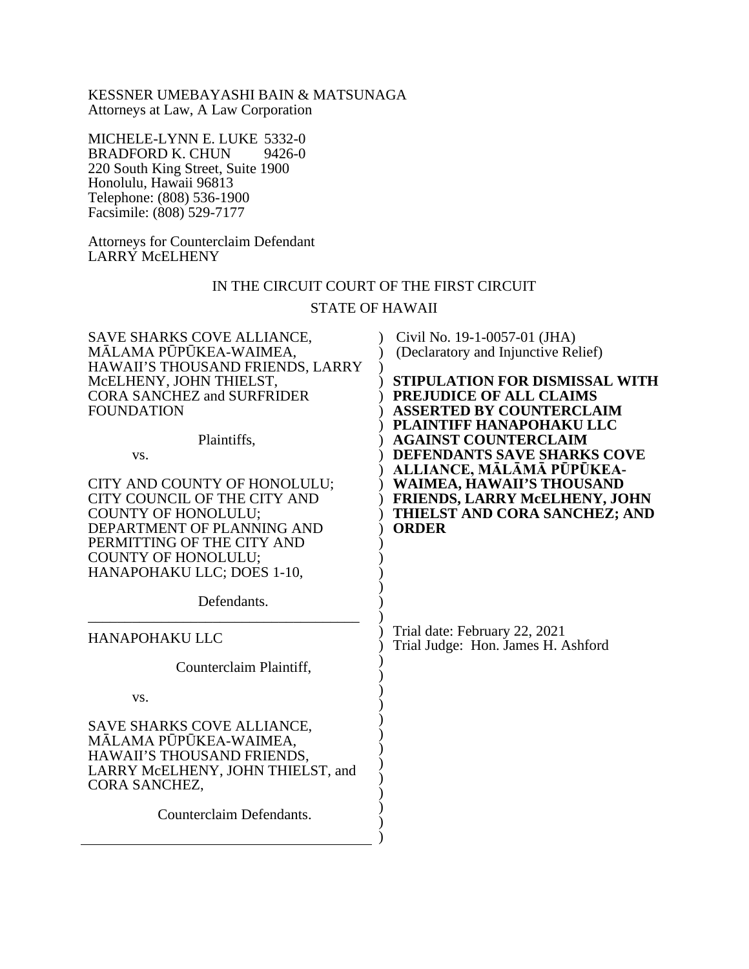KESSNER UMEBAYASHI BAIN & MATSUNAGA Attorneys at Law, A Law Corporation

MICHELE-LYNN E. LUKE 5332-0<br>BRADFORD K. CHUN 9426-0 BRADFORD K. CHUN 220 South King Street, Suite 1900 Honolulu, Hawaii 96813 Telephone: (808) 536-1900 Facsimile: (808) 529-7177

Attorneys for Counterclaim Defendant LARRY McELHENY

# IN THE CIRCUIT COURT OF THE FIRST CIRCUIT

### STATE OF HAWAII

| <b>SAVE SHARKS COVE ALLIANCE,</b><br>MĀLAMA PŪPŪKEA-WAIMEA,<br>HAWAII'S THOUSAND FRIENDS, LARRY<br>MCELHENY, JOHN THIELST,<br><b>CORA SANCHEZ and SURFRIDER</b><br><b>FOUNDATION</b><br>Plaintiffs,<br>VS.<br>CITY AND COUNTY OF HONOLULU;<br>CITY COUNCIL OF THE CITY AND<br><b>COUNTY OF HONOLULU;</b><br>DEPARTMENT OF PLANNING AND<br>PERMITTING OF THE CITY AND<br><b>COUNTY OF HONOLULU;</b><br>HANAPOHAKU LLC; DOES 1-10,<br>Defendants. | Civil No. 19-1-0057-01 (JHA)<br>(Declaratory and Injunctive Relief)<br>STIPULATION FOR DISMISSAL WITH<br><b>PREJUDICE OF ALL CLAIMS</b><br><b>ASSERTED BY COUNTERCLAIM</b><br><b>PLAINTIFF HANAPOHAKU LLC</b><br><b>AGAINST COUNTERCLAIM</b><br>DEFENDANTS SAVE SHARKS COVE<br>ALLIANCE, MĀLĀMĀ PŪPŪKEA-<br><b>WAIMEA, HAWAII'S THOUSAND</b><br>FRIENDS, LARRY McELHENY, JOHN<br>THIELST AND CORA SANCHEZ; AND<br><b>ORDER</b> |
|-------------------------------------------------------------------------------------------------------------------------------------------------------------------------------------------------------------------------------------------------------------------------------------------------------------------------------------------------------------------------------------------------------------------------------------------------|--------------------------------------------------------------------------------------------------------------------------------------------------------------------------------------------------------------------------------------------------------------------------------------------------------------------------------------------------------------------------------------------------------------------------------|
| <b>HANAPOHAKU LLC</b><br>Counterclaim Plaintiff,<br>VS.                                                                                                                                                                                                                                                                                                                                                                                         | Trial date: February 22, 2021<br>Trial Judge: Hon. James H. Ashford                                                                                                                                                                                                                                                                                                                                                            |
| <b>SAVE SHARKS COVE ALLIANCE,</b><br>MĀLAMA PŪPŪKEA-WAIMEA,<br>HAWAII'S THOUSAND FRIENDS,<br>LARRY McELHENY, JOHN THIELST, and<br>CORA SANCHEZ,<br>Counterclaim Defendants.                                                                                                                                                                                                                                                                     |                                                                                                                                                                                                                                                                                                                                                                                                                                |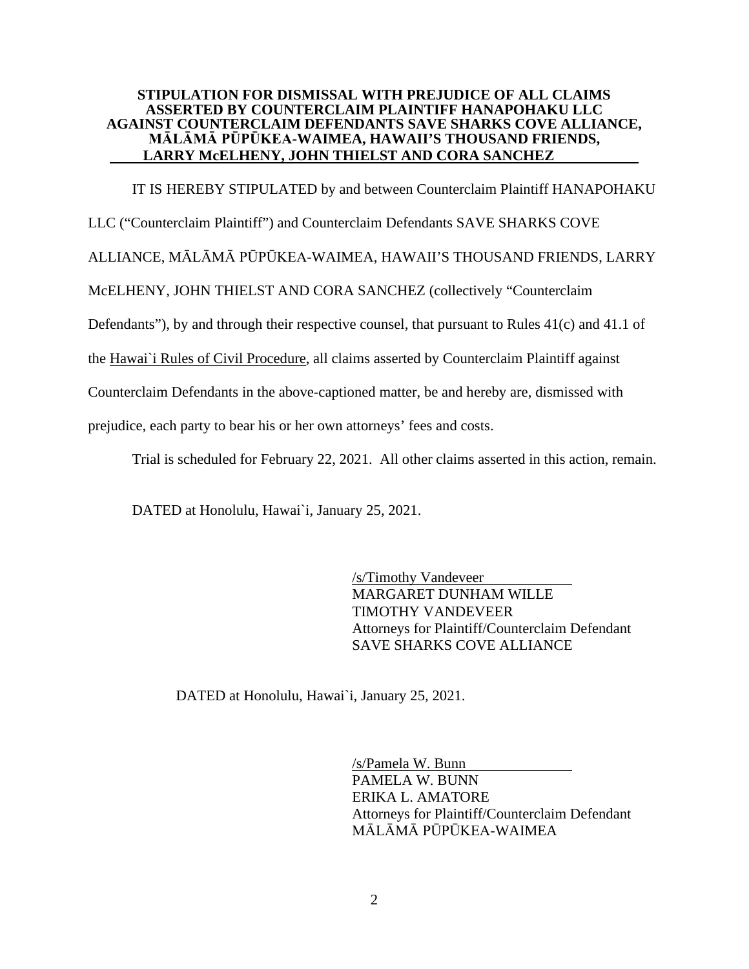### **STIPULATION FOR DISMISSAL WITH PREJUDICE OF ALL CLAIMS ASSERTED BY COUNTERCLAIM PLAINTIFF HANAPOHAKU LLC AGAINST COUNTERCLAIM DEFENDANTS SAVE SHARKS COVE ALLIANCE, MĀLĀMĀ PŪPŪKEA-WAIMEA, HAWAII'S THOUSAND FRIENDS, LARRY McELHENY, JOHN THIELST AND CORA SANCHEZ**

IT IS HEREBY STIPULATED by and between Counterclaim Plaintiff HANAPOHAKU

LLC ("Counterclaim Plaintiff") and Counterclaim Defendants SAVE SHARKS COVE

ALLIANCE, MĀLĀMĀ PŪPŪKEA-WAIMEA, HAWAII'S THOUSAND FRIENDS, LARRY

McELHENY, JOHN THIELST AND CORA SANCHEZ (collectively "Counterclaim

Defendants"), by and through their respective counsel, that pursuant to Rules 41(c) and 41.1 of

the Hawai`i Rules of Civil Procedure, all claims asserted by Counterclaim Plaintiff against

Counterclaim Defendants in the above-captioned matter, be and hereby are, dismissed with

prejudice, each party to bear his or her own attorneys' fees and costs.

Trial is scheduled for February 22, 2021. All other claims asserted in this action, remain.

DATED at Honolulu, Hawai`i, January 25, 2021.

/s/Timothy Vandeveer MARGARET DUNHAM WILLE TIMOTHY VANDEVEER Attorneys for Plaintiff/Counterclaim Defendant SAVE SHARKS COVE ALLIANCE

DATED at Honolulu, Hawai`i, January 25, 2021.

/s/Pamela W. Bunn PAMELA W. BUNN ERIKA L. AMATORE Attorneys for Plaintiff/Counterclaim Defendant MĀLĀMĀ PŪPŪKEA-WAIMEA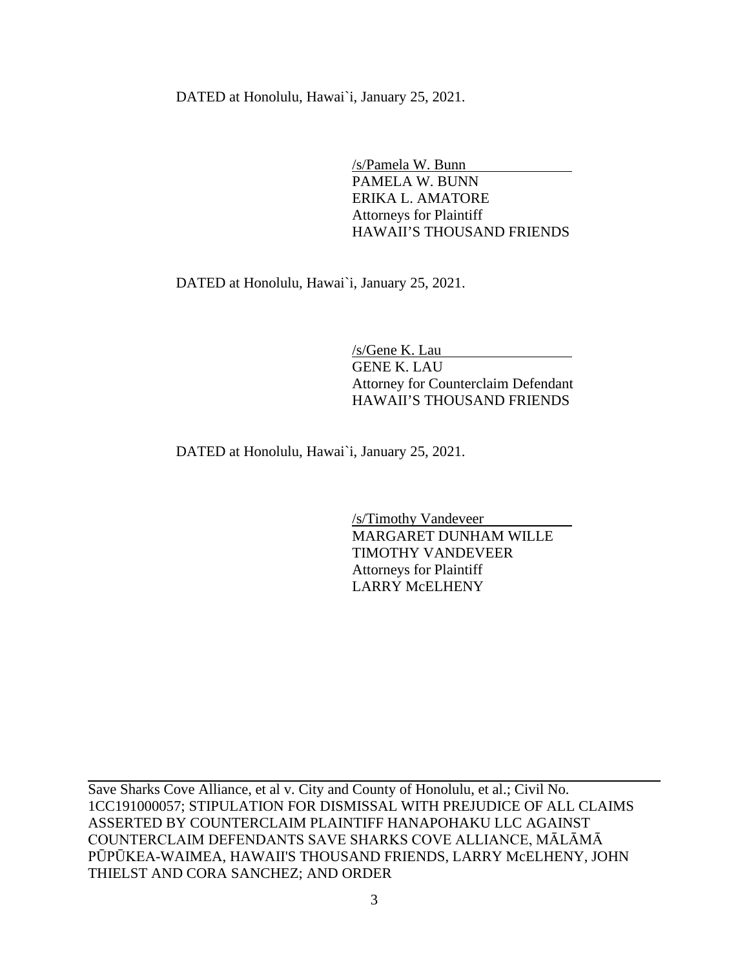DATED at Honolulu, Hawai`i, January 25, 2021.

/s/Pamela W. Bunn PAMELA W. BUNN ERIKA L. AMATORE Attorneys for Plaintiff HAWAII'S THOUSAND FRIENDS

DATED at Honolulu, Hawai`i, January 25, 2021.

/s/Gene K. Lau GENE K. LAU Attorney for Counterclaim Defendant HAWAII'S THOUSAND FRIENDS

DATED at Honolulu, Hawai`i, January 25, 2021.

/s/Timothy Vandeveer MARGARET DUNHAM WILLE TIMOTHY VANDEVEER Attorneys for Plaintiff LARRY McELHENY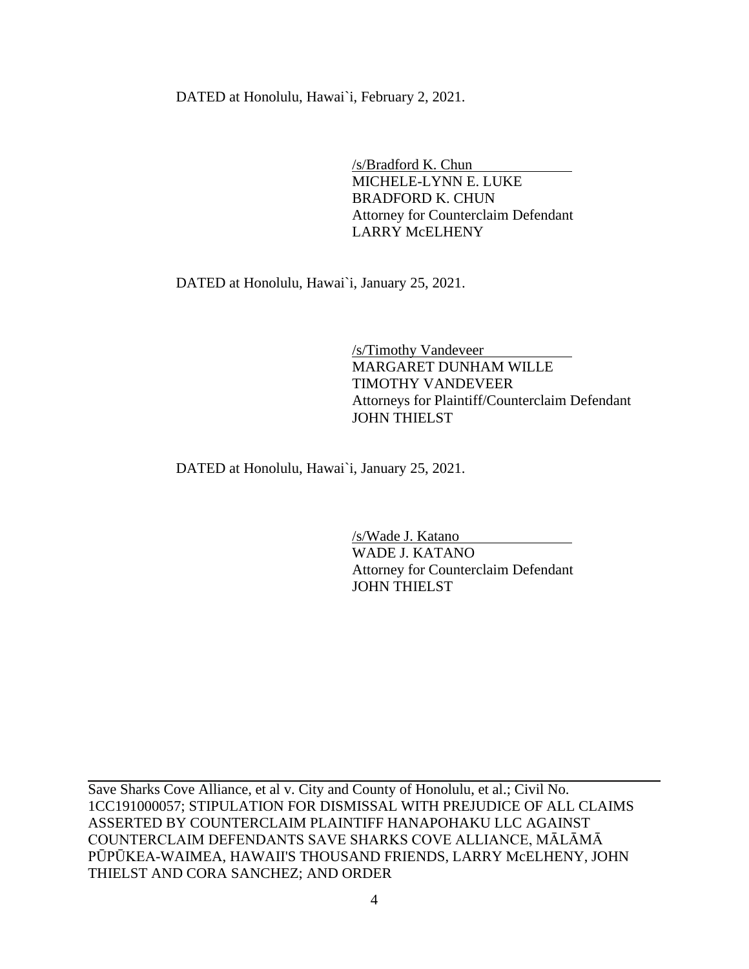DATED at Honolulu, Hawai`i, February 2, 2021.

/s/Bradford K. Chun MICHELE-LYNN E. LUKE BRADFORD K. CHUN Attorney for Counterclaim Defendant LARRY McELHENY

DATED at Honolulu, Hawai`i, January 25, 2021.

/s/Timothy Vandeveer MARGARET DUNHAM WILLE TIMOTHY VANDEVEER Attorneys for Plaintiff/Counterclaim Defendant JOHN THIELST

DATED at Honolulu, Hawai`i, January 25, 2021.

/s/Wade J. Katano WADE J. KATANO Attorney for Counterclaim Defendant JOHN THIELST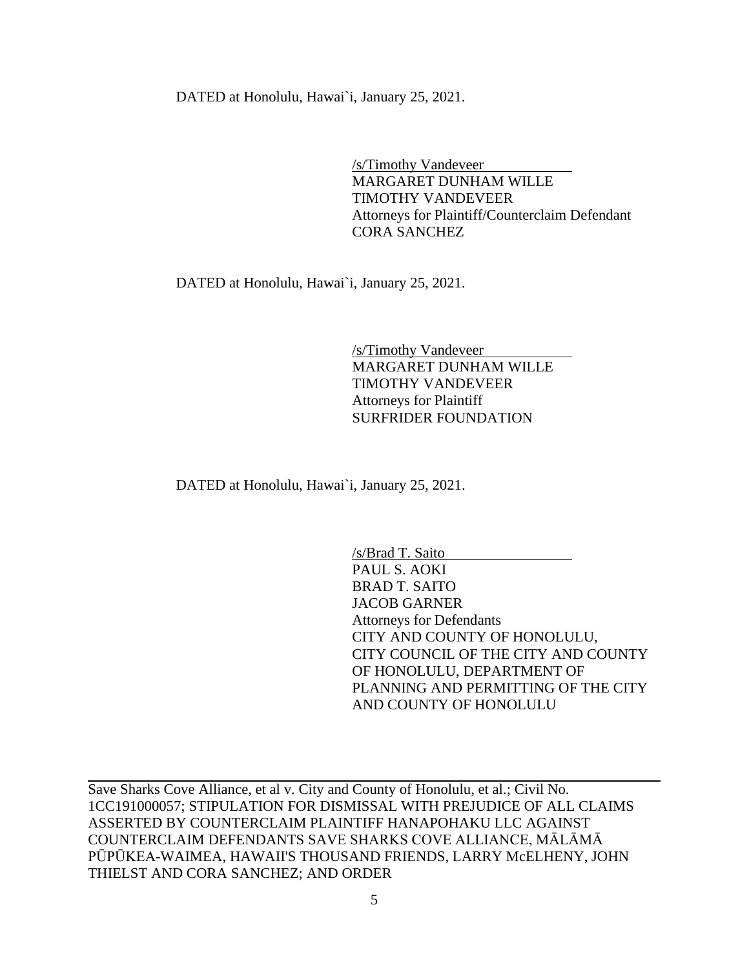DATED at Honolulu, Hawai`i, January 25, 2021.

/s/Timothy Vandeveer MARGARET DUNHAM WILLE TIMOTHY VANDEVEER Attorneys for Plaintiff/Counterclaim Defendant CORA SANCHEZ

DATED at Honolulu, Hawai`i, January 25, 2021.

/s/Timothy Vandeveer MARGARET DUNHAM WILLE TIMOTHY VANDEVEER Attorneys for Plaintiff SURFRIDER FOUNDATION

DATED at Honolulu, Hawai`i, January 25, 2021.

/s/Brad T. Saito PAUL S. AOKI BRAD T. SAITO JACOB GARNER Attorneys for Defendants CITY AND COUNTY OF HONOLULU, CITY COUNCIL OF THE CITY AND COUNTY OF HONOLULU, DEPARTMENT OF PLANNING AND PERMITTING OF THE CITY AND COUNTY OF HONOLULU